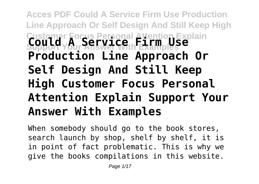# **Acces PDF Could A Service Firm Use Production Line Approach Or Self Design And Still Keep High Customer Focus Personal Attention Explain Support Your Answer With Examples Could A Service Firm Use Production Line Approach Or Self Design And Still Keep High Customer Focus Personal Attention Explain Support Your Answer With Examples**

When somebody should go to the book stores, search launch by shop, shelf by shelf, it is in point of fact problematic. This is why we give the books compilations in this website.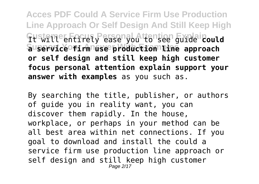**Acces PDF Could A Service Firm Use Production Line Approach Or Self Design And Still Keep High Customer Focus Personal Attention Explain** It will entirely ease you to see guide **could Support Your Answer With Examples a service firm use production line approach or self design and still keep high customer focus personal attention explain support your answer with examples** as you such as.

By searching the title, publisher, or authors of guide you in reality want, you can discover them rapidly. In the house, workplace, or perhaps in your method can be all best area within net connections. If you goal to download and install the could a service firm use production line approach or self design and still keep high customer Page 2/17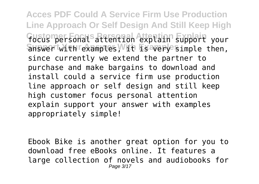**Acces PDF Could A Service Firm Use Production Line Approach Or Self Design And Still Keep High** Fustemer Fonal<sup>s</sup> attention Attention Explain your answer with rexamples, With Esavery simple then, since currently we extend the partner to purchase and make bargains to download and install could a service firm use production line approach or self design and still keep high customer focus personal attention explain support your answer with examples appropriately simple!

Ebook Bike is another great option for you to download free eBooks online. It features a large collection of novels and audiobooks for Page 3/17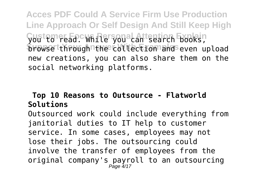**Acces PDF Could A Service Firm Use Production Line Approach Or Self Design And Still Keep High Customer Focus Personal Attention Explain** you to read. While you can search books, **Browse through the collection and even upload** new creations, you can also share them on the social networking platforms.

### **Top 10 Reasons to Outsource - Flatworld Solutions**

Outsourced work could include everything from janitorial duties to IT help to customer service. In some cases, employees may not lose their jobs. The outsourcing could involve the transfer of employees from the original company's payroll to an outsourcing Page 4/17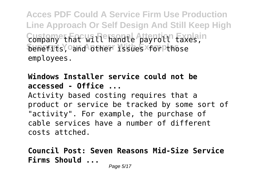**Acces PDF Could A Service Firm Use Production Line Approach Or Self Design And Still Keep High** Custame that will handle payrold Explain **benefits, and other issues for those** employees.

**Windows Installer service could not be accessed - Office ...** Activity based costing requires that a product or service be tracked by some sort of "activity". For example, the purchase of cable services have a number of different costs attched.

**Council Post: Seven Reasons Mid-Size Service Firms Should ...**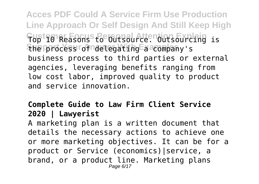**Acces PDF Could A Service Firm Use Production Line Approach Or Self Design And Still Keep High Customer Focus Personal Attention Explain** Top 10 Reasons to Outsource. Outsourcing is **Support Your Answer With Examples** the process of delegating a company's business process to third parties or external agencies, leveraging benefits ranging from low cost labor, improved quality to product and service innovation.

## **Complete Guide to Law Firm Client Service 2020 | Lawyerist**

A marketing plan is a written document that details the necessary actions to achieve one or more marketing objectives. It can be for a product or Service (economics)|service, a brand, or a product line. Marketing plans Page 6/17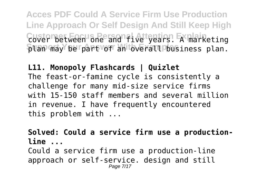**Acces PDF Could A Service Firm Use Production Line Approach Or Self Design And Still Keep High** Custombetween one and five years. Ex marketing  $\delta$ lan may be part of an toverall pusiness plan.

**L11. Monopoly Flashcards | Quizlet** The feast-or-famine cycle is consistently a challenge for many mid-size service firms with 15-150 staff members and several million in revenue. I have frequently encountered this problem with ...

**Solved: Could a service firm use a productionline ...**

Could a service firm use a production-line approach or self-service. design and still Page 7/17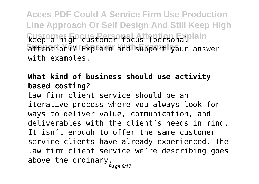**Acces PDF Could A Service Firm Use Production Line Approach Or Self Design And Still Keep High Custom Righ customer focust (personal lain Support Your Answer With Examples** attention)? Explain and support your answer with examples.

## **What kind of business should use activity based costing?**

Law firm client service should be an iterative process where you always look for ways to deliver value, communication, and deliverables with the client's needs in mind. It isn't enough to offer the same customer service clients have already experienced. The law firm client service we're describing goes above the ordinary.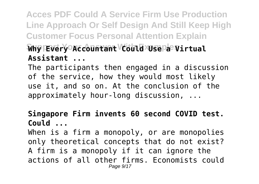**Acces PDF Could A Service Firm Use Production Line Approach Or Self Design And Still Keep High Customer Focus Personal Attention Explain Support Your Answer With Examples Why Every Accountant Could Use a Virtual Assistant ...**

The participants then engaged in a discussion of the service, how they would most likely use it, and so on. At the conclusion of the approximately hour-long discussion, ...

## **Singapore Firm invents 60 second COVID test. Could ...**

When is a firm a monopoly, or are monopolies only theoretical concepts that do not exist? A firm is a monopoly if it can ignore the actions of all other firms. Economists could Page  $9/17$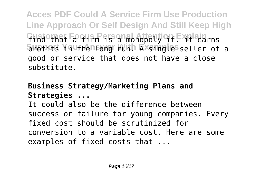**Acces PDF Could A Service Firm Use Production Line Approach Or Self Design And Still Keep High Gustomat Fa Gus Pars an al Attention Fxplain**ns **Support Your Answer With Examples** profits in the long run. A single seller of a good or service that does not have a close substitute.

## **Business Strategy/Marketing Plans and Strategies ...**

It could also be the difference between success or failure for young companies. Every fixed cost should be scrutinized for conversion to a variable cost. Here are some examples of fixed costs that ...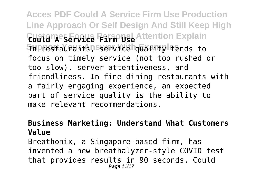**Acces PDF Could A Service Firm Use Production Line Approach Or Self Design And Still Keep High Coutames Froute Firm Use** Attention Explain **In restaurants, service quality tends to** focus on timely service (not too rushed or too slow), server attentiveness, and friendliness. In fine dining restaurants with a fairly engaging experience, an expected part of service quality is the ability to make relevant recommendations.

#### **Business Marketing: Understand What Customers Value**

Breathonix, a Singapore-based firm, has invented a new breathalyzer-style COVID test that provides results in 90 seconds. Could Page 11/17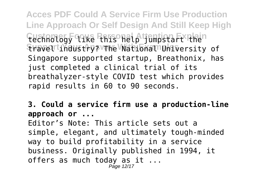**Acces PDF Could A Service Firm Use Production Line Approach Or Self Design And Still Keep High Tuchnology qika this halp jumpstart then Support Your Answer With Examples** travel industry? The National University of Singapore supported startup, Breathonix, has just completed a clinical trial of its breathalyzer-style COVID test which provides rapid results in 60 to 90 seconds.

**3. Could a service firm use a production-line approach or ...**

Editor's Note: This article sets out a simple, elegant, and ultimately tough-minded way to build profitability in a service business. Originally published in 1994, it offers as much today as it ... Page 12/17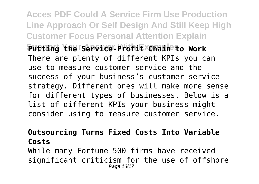**Acces PDF Could A Service Firm Use Production Line Approach Or Self Design And Still Keep High Customer Focus Personal Attention Explain Support Your Answer With Examples Putting the Service-Profit Chain to Work** There are plenty of different KPIs you can use to measure customer service and the success of your business's customer service strategy. Different ones will make more sense for different types of businesses. Below is a list of different KPIs your business might consider using to measure customer service.

## **Outsourcing Turns Fixed Costs Into Variable Costs**

While many Fortune 500 firms have received significant criticism for the use of offshore Page 13/17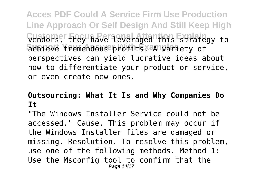**Acces PDF Could A Service Firm Use Production Line Approach Or Self Design And Still Keep High Customer Focus Personal Attention Explain** vendors, they have leveraged this strategy to achieve tremendous profits. A variety of perspectives can yield lucrative ideas about how to differentiate your product or service, or even create new ones.

## **Outsourcing: What It Is and Why Companies Do It**

"The Windows Installer Service could not be accessed." Cause. This problem may occur if the Windows Installer files are damaged or missing. Resolution. To resolve this problem, use one of the following methods. Method 1: Use the Msconfig tool to confirm that the Page 14/17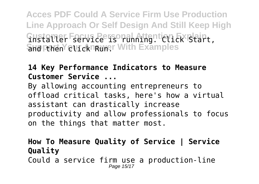**Acces PDF Could A Service Firm Use Production Line Approach Or Self Design And Still Keep High Custaller Fservice is running tien Existair. Shd Pthen Click Runer With Examples** 

### **14 Key Performance Indicators to Measure Customer Service ...**

By allowing accounting entrepreneurs to offload critical tasks, here's how a virtual assistant can drastically increase productivity and allow professionals to focus on the things that matter most.

#### **How To Measure Quality of Service | Service Quality** Could a service firm use a production-line Page 15/17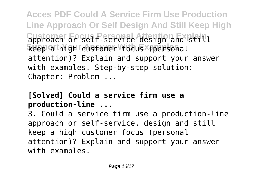**Acces PDF Could A Service Firm Use Production Line Approach Or Self Design And Still Keep High Customer GP Set P Service Attsign and still** Reep a high customer focus (personal attention)? Explain and support your answer with examples. Step-by-step solution: Chapter: Problem ...

## **[Solved] Could a service firm use a production-line ...**

3. Could a service firm use a production-line approach or self-service. design and still keep a high customer focus (personal attention)? Explain and support your answer with examples.